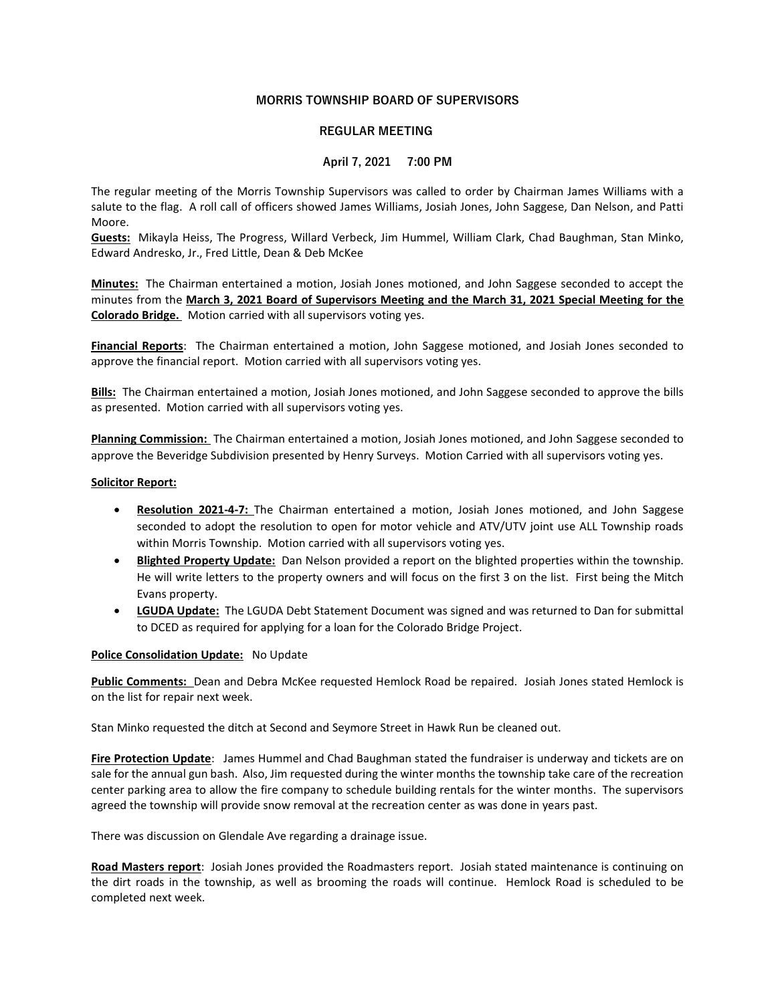# MORRIS TOWNSHIP BOARD OF SUPERVISORS

## REGULAR MEETING

## April 7, 2021 7:00 PM

The regular meeting of the Morris Township Supervisors was called to order by Chairman James Williams with a salute to the flag. A roll call of officers showed James Williams, Josiah Jones, John Saggese, Dan Nelson, and Patti Moore.

Guests: Mikayla Heiss, The Progress, Willard Verbeck, Jim Hummel, William Clark, Chad Baughman, Stan Minko, Edward Andresko, Jr., Fred Little, Dean & Deb McKee

Minutes: The Chairman entertained a motion, Josiah Jones motioned, and John Saggese seconded to accept the minutes from the March 3, 2021 Board of Supervisors Meeting and the March 31, 2021 Special Meeting for the Colorado Bridge. Motion carried with all supervisors voting yes.

Financial Reports: The Chairman entertained a motion, John Saggese motioned, and Josiah Jones seconded to approve the financial report. Motion carried with all supervisors voting yes.

Bills: The Chairman entertained a motion, Josiah Jones motioned, and John Saggese seconded to approve the bills as presented. Motion carried with all supervisors voting yes.

Planning Commission: The Chairman entertained a motion, Josiah Jones motioned, and John Saggese seconded to approve the Beveridge Subdivision presented by Henry Surveys. Motion Carried with all supervisors voting yes.

#### Solicitor Report:

- Resolution 2021-4-7: The Chairman entertained a motion, Josiah Jones motioned, and John Saggese seconded to adopt the resolution to open for motor vehicle and ATV/UTV joint use ALL Township roads within Morris Township. Motion carried with all supervisors voting yes.
- Blighted Property Update: Dan Nelson provided a report on the blighted properties within the township. He will write letters to the property owners and will focus on the first 3 on the list. First being the Mitch Evans property.
- LGUDA Update: The LGUDA Debt Statement Document was signed and was returned to Dan for submittal to DCED as required for applying for a loan for the Colorado Bridge Project.

#### Police Consolidation Update: No Update

Public Comments: Dean and Debra McKee requested Hemlock Road be repaired. Josiah Jones stated Hemlock is on the list for repair next week.

Stan Minko requested the ditch at Second and Seymore Street in Hawk Run be cleaned out.

Fire Protection Update: James Hummel and Chad Baughman stated the fundraiser is underway and tickets are on sale for the annual gun bash. Also, Jim requested during the winter months the township take care of the recreation center parking area to allow the fire company to schedule building rentals for the winter months. The supervisors agreed the township will provide snow removal at the recreation center as was done in years past.

There was discussion on Glendale Ave regarding a drainage issue.

Road Masters report: Josiah Jones provided the Roadmasters report. Josiah stated maintenance is continuing on the dirt roads in the township, as well as brooming the roads will continue. Hemlock Road is scheduled to be completed next week.